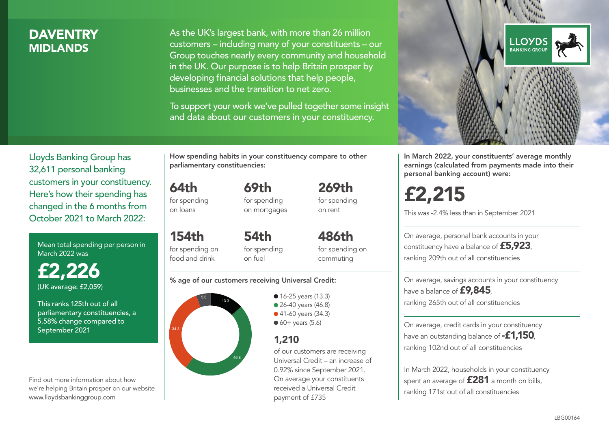## **DAVENTRY MIDI ANDS**

As the UK's largest bank, with more than 26 million customers – including many of your constituents – our Group touches nearly every community and household in the UK. Our purpose is to help Britain prosper by developing financial solutions that help people, businesses and the transition to net zero.

To support your work we've pulled together some insight and data about our customers in your constituency.



Mean total spending per person in March 2022 was

£2,226 (UK average: £2,059)

This ranks 125th out of all parliamentary constituencies, a 5.58% change compared to September 2021

Find out more information about how we're helping Britain prosper on our website www.lloydsbankinggroup.com

How spending habits in your constituency compare to other parliamentary constituencies:

64th for spending on loans

for spending on mortgages

69th

154th for spending on food and drink 54th on fuel

for spending for spending on

#### % age of our customers receiving Universal Credit:



• 16-25 years (13.3) • 26-40 years (46.8) ● 41-60 years (34.3)  $60+$  years (5.6)

## 1,210

of our customers are receiving Universal Credit – an increase of 0.92% since September 2021. On average your constituents received a Universal Credit payment of £735

269th for spending on rent

486th

commuting



In March 2022, your constituents' average monthly earnings (calculated from payments made into their personal banking account) were:

£2,215

This was -2.4% less than in September 2021

On average, personal bank accounts in your constituency have a balance of £5,923, ranking 209th out of all constituencies

On average, savings accounts in your constituency have a balance of **£9,845**, ranking 265th out of all constituencies

On average, credit cards in your constituency have an outstanding balance of **-£1,150** ranking 102nd out of all constituencies

In March 2022, households in your constituency spent an average of **£281** a month on bills, ranking 171st out of all constituencies